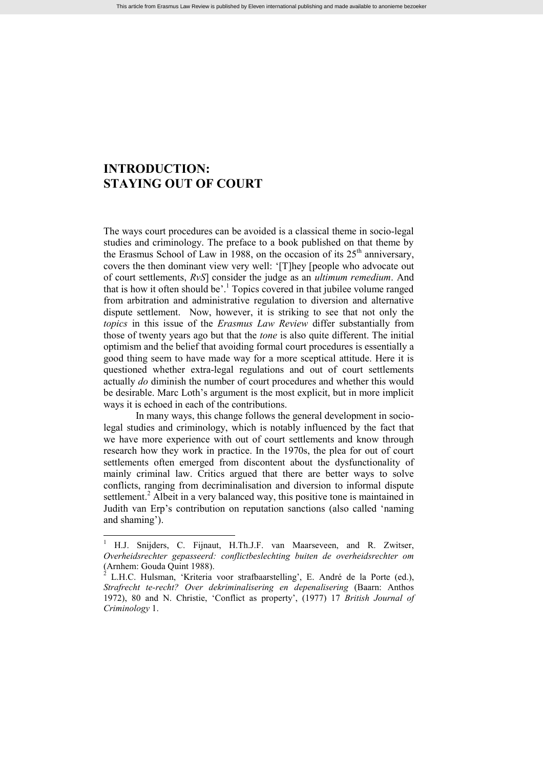## **INTRODUCTION: STAYING OUT OF COURT**

The ways court procedures can be avoided is a classical theme in socio-legal studies and criminology. The preface to a book published on that theme by the Erasmus School of Law in 1988, on the occasion of its  $25<sup>th</sup>$  anniversary, covers the then dominant view very well: '[T]hey [people who advocate out of court settlements, *RvS*] consider the judge as an *ultimum remedium*. And that is how it often should be'. <sup>1</sup> Topics covered in that jubilee volume ranged from arbitration and administrative regulation to diversion and alternative dispute settlement. Now, however, it is striking to see that not only the *topics* in this issue of the *Erasmus Law Review* differ substantially from those of twenty years ago but that the *tone* is also quite different. The initial optimism and the belief that avoiding formal court procedures is essentially a good thing seem to have made way for a more sceptical attitude. Here it is questioned whether extra-legal regulations and out of court settlements actually *do* diminish the number of court procedures and whether this would be desirable. Marc Loth's argument is the most explicit, but in more implicit ways it is echoed in each of the contributions.

In many ways, this change follows the general development in sociolegal studies and criminology, which is notably influenced by the fact that we have more experience with out of court settlements and know through research how they work in practice. In the 1970s, the plea for out of court settlements often emerged from discontent about the dysfunctionality of mainly criminal law. Critics argued that there are better ways to solve conflicts, ranging from decriminalisation and diversion to informal dispute settlement.<sup>2</sup> Albeit in a very balanced way, this positive tone is maintained in Judith van Erp's contribution on reputation sanctions (also called 'naming and shaming').

<sup>1</sup> H.J. Snijders, C. Fijnaut, H.Th.J.F. van Maarseveen, and R. Zwitser, *Overheidsrechter gepasseerd: conflictbeslechting buiten de overheidsrechter om* (Arnhem: Gouda Quint 1988).

 $^2$  L.H.C. Hulsman, 'Kriteria voor strafbaarstelling', E. André de la Porte (ed.), *Strafrecht te-recht? Over dekriminalisering en depenalisering* (Baarn: Anthos 1972), 80 and N. Christie, 'Conflict as property', (1977) 17 *British Journal of Criminology* 1.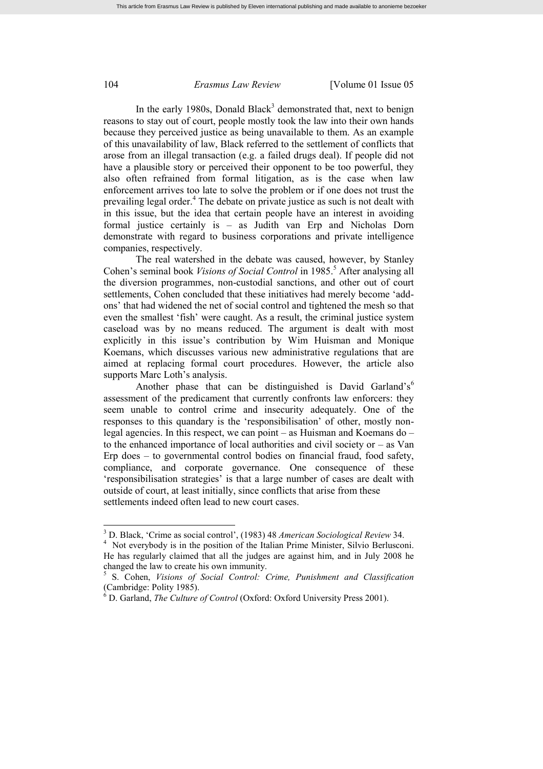## 104 *Erasmus Law Review* [Volume 01 Issue 05

In the early 1980s, Donald Black<sup>3</sup> demonstrated that, next to benign reasons to stay out of court, people mostly took the law into their own hands because they perceived justice as being unavailable to them. As an example of this unavailability of law, Black referred to the settlement of conflicts that arose from an illegal transaction (e.g. a failed drugs deal). If people did not have a plausible story or perceived their opponent to be too powerful, they also often refrained from formal litigation, as is the case when law enforcement arrives too late to solve the problem or if one does not trust the prevailing legal order.<sup>4</sup> The debate on private justice as such is not dealt with in this issue, but the idea that certain people have an interest in avoiding formal justice certainly is – as Judith van Erp and Nicholas Dorn demonstrate with regard to business corporations and private intelligence companies, respectively.

The real watershed in the debate was caused, however, by Stanley Cohen's seminal book *Visions of Social Control* in 1985. <sup>5</sup> After analysing all the diversion programmes, non-custodial sanctions, and other out of court settlements, Cohen concluded that these initiatives had merely become 'addons' that had widened the net of social control and tightened the mesh so that even the smallest 'fish' were caught. As a result, the criminal justice system caseload was by no means reduced. The argument is dealt with most explicitly in this issue's contribution by Wim Huisman and Monique Koemans, which discusses various new administrative regulations that are aimed at replacing formal court procedures. However, the article also supports Marc Loth's analysis.

Another phase that can be distinguished is David Garland's<sup>6</sup> assessment of the predicament that currently confronts law enforcers: they seem unable to control crime and insecurity adequately. One of the responses to this quandary is the 'responsibilisation' of other, mostly nonlegal agencies. In this respect, we can point – as Huisman and Koemans do – to the enhanced importance of local authorities and civil society or – as Van Erp does – to governmental control bodies on financial fraud, food safety, compliance, and corporate governance. One consequence of these 'responsibilisation strategies' is that a large number of cases are dealt with outside of court, at least initially, since conflicts that arise from these settlements indeed often lead to new court cases.

<sup>3</sup> D. Black, 'Crime as social control', (1983) 48 *American Sociological Review* 34.

<sup>&</sup>lt;sup>4</sup> Not everybody is in the position of the Italian Prime Minister, Silvio Berlusconi. He has regularly claimed that all the judges are against him, and in July 2008 he changed the law to create his own immunity.

<sup>5</sup> S. Cohen, *Visions of Social Control: Crime, Punishment and Classification* (Cambridge: Polity 1985).

<sup>6</sup> D. Garland, *The Culture of Control* (Oxford: Oxford University Press 2001).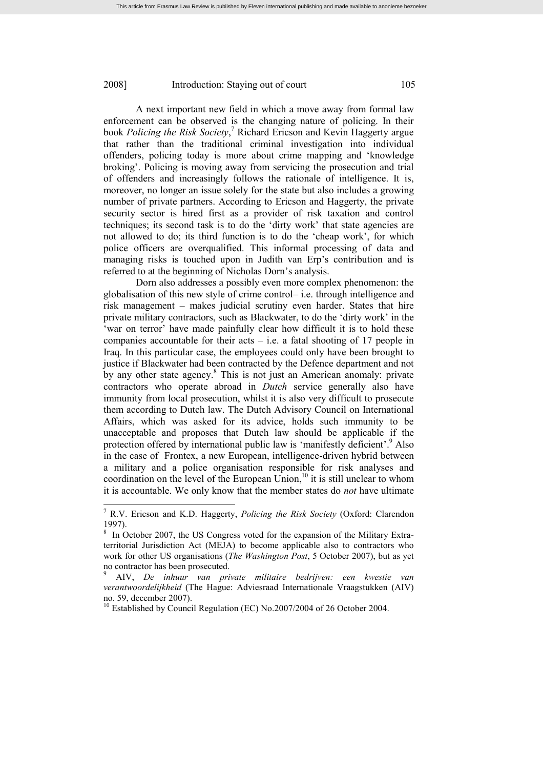## 2008] Introduction: Staying out of court 105

A next important new field in which a move away from formal law enforcement can be observed is the changing nature of policing. In their book *Policing the Risk Society*, <sup>7</sup> Richard Ericson and Kevin Haggerty argue that rather than the traditional criminal investigation into individual offenders, policing today is more about crime mapping and 'knowledge broking'. Policing is moving away from servicing the prosecution and trial of offenders and increasingly follows the rationale of intelligence. It is, moreover, no longer an issue solely for the state but also includes a growing number of private partners. According to Ericson and Haggerty, the private security sector is hired first as a provider of risk taxation and control techniques; its second task is to do the 'dirty work' that state agencies are not allowed to do; its third function is to do the 'cheap work', for which police officers are overqualified. This informal processing of data and managing risks is touched upon in Judith van Erp's contribution and is referred to at the beginning of Nicholas Dorn's analysis.

Dorn also addresses a possibly even more complex phenomenon: the globalisation of this new style of crime control– i.e. through intelligence and risk management – makes judicial scrutiny even harder. States that hire private military contractors, such as Blackwater, to do the 'dirty work' in the 'war on terror' have made painfully clear how difficult it is to hold these companies accountable for their acts – i.e. a fatal shooting of 17 people in Iraq. In this particular case, the employees could only have been brought to justice if Blackwater had been contracted by the Defence department and not by any other state agency.<sup>8</sup> This is not just an American anomaly: private contractors who operate abroad in *Dutch* service generally also have immunity from local prosecution, whilst it is also very difficult to prosecute them according to Dutch law. The Dutch Advisory Council on International Affairs, which was asked for its advice, holds such immunity to be unacceptable and proposes that Dutch law should be applicable if the protection offered by international public law is 'manifestly deficient'.<sup>9</sup> Also in the case of Frontex, a new European, intelligence-driven hybrid between a military and a police organisation responsible for risk analyses and coordination on the level of the European Union, <sup>10</sup> it is still unclear to whom it is accountable. We only know that the member states do *not* have ultimate

<sup>7</sup> R.V. Ericson and K.D. Haggerty, *Policing the Risk Society* (Oxford: Clarendon 1997).

<sup>8</sup> In October 2007, the US Congress voted for the expansion of the Military Extraterritorial Jurisdiction Act (MEJA) to become applicable also to contractors who work for other US organisations (*The Washington Post*, 5 October 2007), but as yet no contractor has been prosecuted.

<sup>9</sup> AIV, *De inhuur van private militaire bedrijven: een kwestie van verantwoordelijkheid* (The Hague: Adviesraad Internationale Vraagstukken (AIV) no. 59, december 2007).

<sup>&</sup>lt;sup>10</sup> Established by Council Regulation (EC) No.2007/2004 of 26 October 2004.